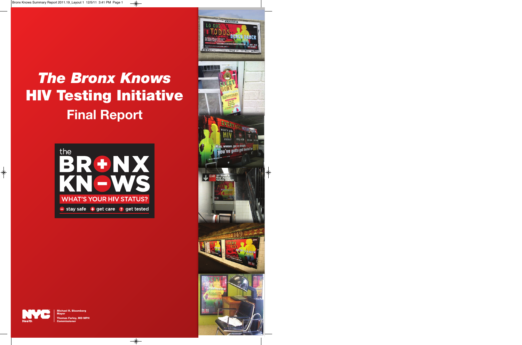# *The Bronx Knows* **HIV Testing Initiative Final Report**







**Michael R. Bloomberg Mayor Thomas Farley, MD MPH Commissioner**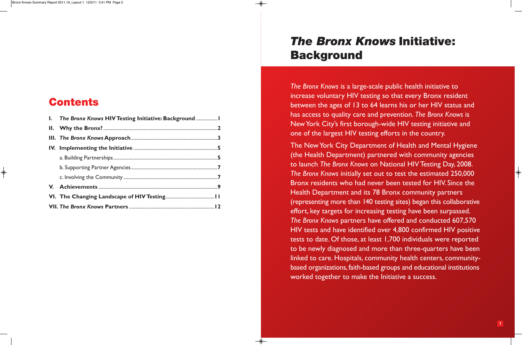| I. The Bronx Knows HIV Testing Initiative: Background |  |
|-------------------------------------------------------|--|
|                                                       |  |
|                                                       |  |
|                                                       |  |
|                                                       |  |
|                                                       |  |
|                                                       |  |
|                                                       |  |
|                                                       |  |
|                                                       |  |

**Contents**

*The Bronx Knows* is a large-scale public health initiative to increase voluntary HIV testing so that every Bronx resident between the ages of 13 to 64 learns his or her HIV status and has access to quality care and prevention. *The Bronx Knows* is New York City's first borough-wide HIV testing initiative and one of the largest HIV testing efforts in the country.

The New York City Department of Health and Mental Hygiene (the Health Department) partnered with community agencies to launch *The Bronx Knows* on National HIV Testing Day, 2008. *The Bronx Knows* initially set out to test the estimated 250,000 Bronx residents who had never been tested for HIV. Since the Health Department and its 78 Bronx community partners (representing more than 140 testing sites) began this collaborative effort, key targets for increasing testing have been surpassed. *The Bronx Knows* partners have offered and conducted 607,570 HIV tests and have identified over 4,800 confirmed HIV positive tests to date. Of those, at least 1,700 individuals were reported to be newly diagnosed and more than three-quarters have been linked to care. Hospitals, community health centers, communitybased organizations, faith-based groups and educational institutions worked together to make the Initiative a success.

## *The Bronx Knows* **Initiative: Background**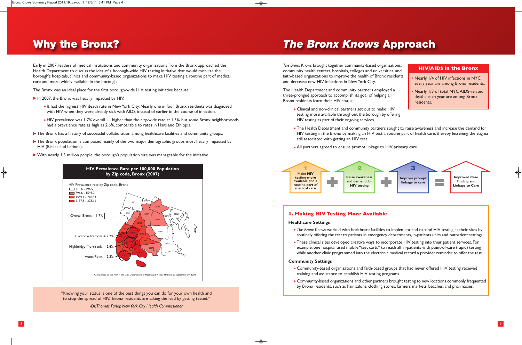Early in 2007, leaders of medical institutions and community organizations from the Bronx approached the Health Department to discuss the idea of a borough-wide HIV testing initiative that would mobilize the borough's hospitals, clinics and community-based organizations to make HIV testing a routine part of medical care and more widely available in the borough.

The Bronx was an ideal place for the first borough-wide HIV testing initiative because:

## **Why the Bronx?**

*The Bronx Knows* brought together community-based organizations, community health centers, hospitals, colleges and universities, and faith-based organizations to improve the health of Bronx residents and decrease new HIV infections in NewYork City.

The Health Department and community partners employed a three-pronged approach to accomplish its goal of helping all Bronx residents learn their HIV status:

- In 2007, the Bronx was heavily impacted by HIV.
	- . It had the highest HIV death rate in New York City. Nearly one in four Bronx residents was diagnosed with HIV when they were already sick with AIDS, instead of earlier in the course of infection.
	- HIV prevalence was 1.7% overall higher than the city-wide rate at 1.3%, but some Bronx neighborhoods had a prevalence rate as high as 2.6%, comparable to rates in Haiti and Ethiopia.
- The Bronx has a history of successful collaboration among healthcare facilities and community groups.
- The Bronx population is composed mainly of the two major demographic groups most heavily impacted by HIV (Blacks and Latinos).
- With nearly 1.3 million people, the borough's population size was manageable for the initiative.
- Clinical and non-clinical partners set out to make HIV testing more available throughout the borough by offering HIV testing as part of their ongoing services.
- still associated with getting an HIV test.
- All partners agreed to ensure prompt linkage to HIV primary care.

The Health Department and community partners sought to raise awareness and increase the demand for HIV testing in the Bronx by making an HIV test a routine part of health care, thereby lessening the stigma

#### **1. Making HIV Testing More Available**

#### **Healthcare Settings**

- 
- 

*The Bronx Knows* worked with healthcare facilities to implement and expand HIV testing at their sites by routinely offering the test to patients in emergency departments, in-patients units and outpatient settings.

These clinical sites developed creative ways to incorporate HIV testing into their patient services. For example, one hospital used mobile "test carts" to reach all in-patients with point-of-care (rapid) testing while another clinic programmed into the electronic medical record a provider reminder to offer the test.

#### **Community Settings**

Community-based organizations and faith-based groups that had never offered HIV testing received

- training and assistance to establish HIV testing programs.
- 

Community-based organizations and other partners brought testing to new locations commonly frequented by Bronx residents, such as hair salons, clothing stores, farmers markets, beaches, and pharmacies.

### *The Bronx Knows* **Approach**



"Knowing your status is one of the best things you can do for your own health and to stop the spread of HIV. Bronx residents are taking the lead by getting tested."

*-Dr. Thomas Farley, New York City Health Commissioner*

- Nearly 1/4 of HIV infections in NYC every year are among Bronx residents.
- Nearly 1/3 of total NYC AIDS-related deaths each year are among Bronx residents.

### **HIV/AIDS in the Bronx**



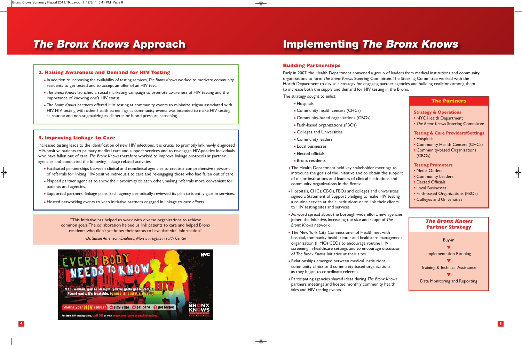#### **2. Raising Awareness and Demand for HIV Testing**

- In addition to increasing the availability of testing services, *The Bronx Knows* worked to motivate community residents to get tested and to accept an offer of an HIV test.
- *The Bronx Knows* launched a social marketing campaign to promote awareness of HIV testing and the importance of knowing one's HIV status.
- *The Bronx Knows* partners offered HIV testing at community events to minimize stigma associated with HIV. HIV testing with other health screenings at community events was intended to make HIV testing as routine and non-stigmatizing as diabetes or blood pressure screening.

#### **3. Improving Linkage to Care**

Increased testing leads to the identification of new HIV infections. It is crucial to promptly link newly diagnosed HIV-positive patients to primary medical care and support services and to re-engage HIV-positive individuals who have fallen out of care. *The Bronx Knows* therefore worked to improve linkage protocols at partner agencies and conducted the following linkage related activities:

- Facilitated partnerships between clinical and nonclinical agencies to create a comprehensive network of referrals for linking HIV-positive individuals to care and re-engaging those who had fallen out of care.
- Mapped partner agencies to show their proximity to each other, making referrals more convenient for patients and agencies.
- Supported partners' linkage plans. Each agency periodically reviewed its plan to identify gaps in services.
- Hosted networking events to keep initiative partners engaged in linkage to care efforts.

### **Building Partnerships**

- Hospitals
- Community health centers (CHCs)
- Community-based organizations (CBOs)
- Faith-based organizations (FBOs)
- Colleges and Universities
- Community leaders
- Local businesses
- Elected officials
- Bronx residents
- The Health Department held key stakeholder meetings to introduce the goals of the Initiative and to obtain the support of major institutions and leaders of clinical institutions and community organizations in the Bronx.
- Hospitals, CHCs, CBOs, FBOs and colleges and universities signed a Statement of Support pledging to make HIV testing a routine service at their institutions or to link their clients to HIV testing sites and services.
- As word spread about the borough-wide effort, new agencie joined the Initiative, increasing the size and scope of *The Bronx Knows* network.
- The New York City Commissioner of Health met with hospital, community health center and healthcare management organization (HMO) CEOs to encourage routine HIV screening in healthcare settings and to encourage discussion of *The Bronx Knows* Initiative at their sites.
- Relationships emerged between medical institutions, community clinics, and community-based organizations as they began to coordinate referrals.
- Participating agencies shared ideas during *The Bronx Knows* partners meetings and hosted monthly community health fairs and HIV testing events.

Early in 2007, the Health Department convened a group of leaders from medical institutions and community organizations to form *The Bronx Knows* Steering Committee.The Steering Committee worked with the Health Department to devise a strategy for engaging partner agencies and building coalitions among them to increase both the supply and demand for HIV testing in the Bronx.

The strategy sought to enlist:

## **Implementing** *The Bronx Knows*



"This Initiative has helped us work with diverse organizations to achieve common goals. The collaboration helped us link patients to care and helped Bronx residents who didn't yet know their status to have that vital information."

*-Dr. Susan Amenechi-Enahoro, Morris Heights Health Center*

|     | <b>The Partners</b>                                                                                                                           |  |  |  |
|-----|-----------------------------------------------------------------------------------------------------------------------------------------------|--|--|--|
|     | <b>Strategy &amp; Operations</b><br>• NYC Health Department<br>• The Bronx Knows Steering Committee                                           |  |  |  |
|     | <b>Testing &amp; Care Providers/Settings</b><br>• Hospitals<br>• Community Health Centers (CHCs)<br>• Community-based Organizations<br>(CBOs) |  |  |  |
| rt  | <b>Testing Promoters</b><br>• Media Outlets<br>• Community Leaders<br>• Elected Officials<br>• Local Businesses                               |  |  |  |
|     | • Faith-based Organizations (FBOs)<br>• Colleges and Universities                                                                             |  |  |  |
| 5s  |                                                                                                                                               |  |  |  |
|     | <b>The Bronx Knows</b><br><b>Partner Strategy</b>                                                                                             |  |  |  |
| 'n. | <b>Buy-in</b>                                                                                                                                 |  |  |  |
|     | <b>Implementation Planning</b>                                                                                                                |  |  |  |
|     | <b>Training &amp; Technical Assistance</b>                                                                                                    |  |  |  |

Data Monitoring and Reporting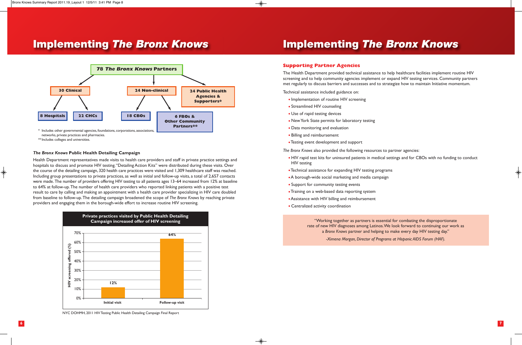#### *The Bronx Knows* **Public Health Detailing Campaign**

Health Department representatives made visits to health care providers and staff in private practice settings and hospitals to discuss and promote HIV testing. "Detailing Action Kits" were distributed during these visits. Over the course of the detailing campaign, 320 health care practices were visited and 1,309 healthcare staff was reached. Including group presentations to private practices, as well as initial and follow-up visits, a total of 2,657 contacts were made. The number of providers offering HIV testing to all patients ages 13–64 increased from 12% at baseline to 64% at follow-up. The number of health care providers who reported linking patients with a positive test result to care by calling and making an appointment with a health care provider specializing in HIV care doubled from baseline to follow-up. The detailing campaign broadened the scope of *The Bronx Knows* by reaching private providers and engaging them in the borough-wide effort to increase routine HIV screening.

- Implementation of routine HIV screening
- Streamlined HIV counseling
- Use of rapid testing devices
- New York State permits for laboratory testing
- Data monitoring and evaluation
- Billing and reimbursement
- Testing event development and support

### **Implementing** *The Bronx Knows*

### **Supporting Partner Agencies**

The Health Department provided technical assistance to help healthcare facilities implement routine HIV screening and to help community agencies implement or expand HIV testing services. Community partners met regularly to discuss barriers and successes and to strategize how to maintain Initiative momentum.

Technical assistance included guidance on:

*The Bronx Knows* also provided the following resources to partner agencies:

HIV rapid test kits for uninsured patients in medical settings and for CBOs with no funding to conduct

- HIV testing
- Technical assistance for expanding HIV testing programs
- A borough-wide social marketing and media campaign
- Support for community testing events
- Training on a web-based data reporting system
- Assistance with HIV billing and reimbursement
- Centralized activity coordination

### **Implementing** *The Bronx Knows*



networks, private practices and pharmacies.

\*\* Includes colleges and universities.





NYC DOHMH, 2011 HIV Testing Public Health Detailing Campaign Final Report

"Working together as partners is essential for combating the disproportionate rate of new HIV diagnoses among Latinos. We look forward to continuing our work as a *Bronx Knows* partner and helping to make every day HIV testing day."

*-Ximena Morgan, Director of Programs at Hispanic AIDS Forum (HAF).*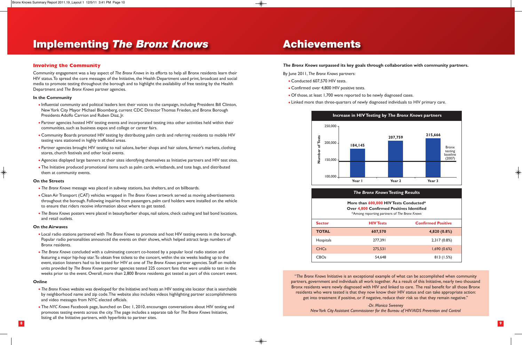### **Involving the Community**

Community engagement was a key aspect of *The Bronx Knows* in its efforts to help all Bronx residents learn their HIV status. To spread the core messages of the Initiative, the Health Department used print, broadcast and social media to promote testing throughout the borough and to highlight the availability of free testing by the Health Department and *The Bronx Knows* partner agencies.

#### **In the Community**

- Influential community and political leaders lent their voices to the campaign, including President Bill Clinton, New York City Mayor Michael Bloomberg, current CDC Director Thomas Frieden, and Bronx Borough Presidents Adolfo Carrion and Ruben Diaz, Jr.
- Partner agencies hosted HIV testing events and incorporated testing into other activities held within their communities, such as business expos and college or career fairs.
- Community Boards promoted HIV testing by distributing palm cards and referring residents to mobile HIV testing vans stationed in highly trafficked areas.
- Partner agencies brought HIV testing to nail salons, barber shops and hair salons, farmer's markets, clothing stores, church festivals and other local events.
- Agencies displayed large banners at their sites identifying themselves as Initiative partners and HIV test sites.
- The Initiative produced promotional items such as palm cards, wristbands, and tote bags, and distributed them at community events.

#### **On the Streets**

- *The Bronx Knows* message was placed in subway stations, bus shelters, and on billboards.
- Clean Air Transport (CAT) vehicles wrapped in *The Bronx Knows* artwork served as moving advertisements throughout the borough. Following inquiries from passengers, palm card holders were installed on the vehicle to ensure that riders receive information about where to get tested.
- *The Bronx Knows* posters were placed in beauty/barber shops, nail salons, check cashing and bail bond locations, and retail outlets.
- Conducted 607,570 HIV tests.
- Confirmed over 4,800 HIV positive tests.
- Of those, at least 1,700 were reported to be newly diagnosed cases.
- Linked more than three-quarters of newly diagnosed individuals to HIV primary care.

#### **On the Airwaves**

- Local radio stations partnered with *The Bronx Knows* to promote and host HIV testing events in the borough. Popular radio personalities announced the events on their shows, which helped attract large numbers of Bronx residents.
- *The Bronx Knows* concluded with a culminating concert co-hosted by a popular local radio station and featuring a major hip-hop star.To obtain free tickets to the concert, within the six weeks leading up to the event, station listeners had to be tested for HIV at one of *The Bronx Knows* partner agencies. Staff on mobile units provided by *The Bronx Knows* partner agencies tested 225 concert fans that were unable to test in the weeks prior to the event. Overall, more than 2,800 Bronx residents got tested as part of this concert event.

#### **Online**

- *The Bronx Knows* website was developed for the Initiative and hosts an HIV testing site locator that is searchable by neighborhood name and zip code. The website also includes videos highlighting partner accomplishments and video messages from NYC elected officials.
- The *NYC Knows* Facebook page, launched on Dec 1, 2010, encourages conversations about HIV testing and promotes testing events across the city. The page includes a separate tab for *The Bronx Knows* Initiative, listing all the Initiative partners, with hyperlinks to partner sites.

### **Implementing** *The Bronx Knows*

#### *The Bronx Knows* **surpassed its key goals through collaboration with community partners.**

By June 2011, *The Bronx Knows* partners:

## **Achievements**

"*The Bronx Knows* Initiative is an exceptional example of what can be accomplished when community partners, government and individuals all work together. As a result of this Initiative, nearly two thousand Bronx residents were newly diagnosed with HIV and linked to care. The real benefit for all those Bronx residents who were tested is that they now know their HIV status and can take appropriate action: get into treatment if positive, or if negative, reduce their risk so that they remain negative."

*-Dr. Monica Sweeney* 



| Hospitals        | 277. |
|------------------|------|
| CHC <sub>s</sub> | 275. |
| <b>CBOs</b>      |      |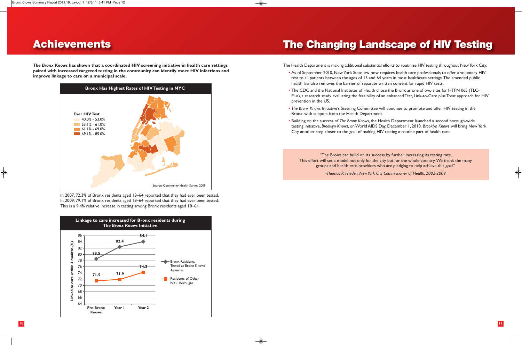In 2007, 72.3% of Bronx residents aged 18–64 reported that they had ever been tested. In 2009, 79.1% of Bronx residents aged 18–64 reported that they had ever been tested. This is a 9.4% relative increase in testing among Bronx residents aged 18–64.

*The Bronx Knows* **has shown that a coordinated HIV screening initiative in health care settings paired with increased targeted testing in the community can identify more HIV infections and improve linkage to care on a municipal scale.**

### **Achievements**

The Health Department is making additional substantial efforts to routinize HIV testing throughout New York City.

• As of September 2010, New York State law now requires health care professionals to offer a voluntary HIV test to all patients between the ages of 13 and 64 years in most healthcare settings.The amended public

• The CDC and the National Institutes of Health chose the Bronx as one of two sites for HTPN 065 (TLC-Plus), a research study evaluating the feasibility of an enhanced Test, Link-to-Care plus Treat approach for HIV

• *The Bronx Knows* Initiative's Steering Committee will continue to promote and offer HIV testing in the

- health law also removes the barrier of separate written consent for rapid HIV tests.
- prevention in the US.
- Bronx, with support from the Health Department.
- City another step closer to the goal of making HIV testing a routine part of health care.

• Building on the success of *The Bronx Knows*, the Health Department launched a second borough-wide testing initiative, *Brooklyn Knows*, on World AIDS Day, December 1, 2010. *Brooklyn Knows* will bring New York

## **The Changing Landscape of HIV Testing**





"The Bronx can build on its success by further increasing its testing rate. This effort will set a model not only for the city but for the whole country. We thank the many groups and health care providers who are pledging to help achieve this goal."

*-Thomas R. Frieden, New York City Commissioner of Health, 2002-2009*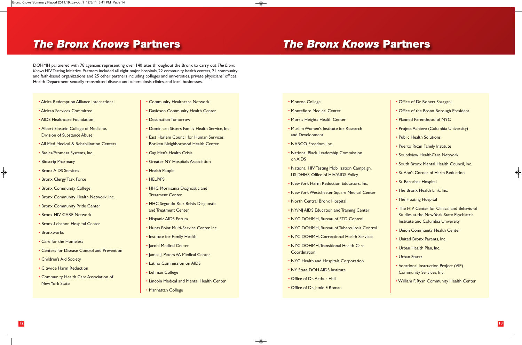DOHMH partnered with 78 agencies representing over 140 sites throughout the Bronx to carry out *The Bronx Knows* HIV Testing Initiative. Partners included all eight major hospitals, 22 community health centers, 21 community and faith-based organizations and 25 other partners including colleges and universities, private physicians' offices, Health Department sexually transmitted disease and tuberculosis clinics, and local businesses.

### *The Bronx Knows* **Partners** *The Bronx Knows* **Partners**

- Africa Redemption Alliance International
- African Services Committee
- AIDS Healthcare Foundation
- Albert Einstein College of Medicine, Division of Substance Abuse
- All Med Medical & Rehabilitation Centers
- Basics/Promesa Systems, Inc.
- Bioscrip Pharmacy
- Bronx AIDS Services
- Bronx Clergy Task Force
- Bronx Community College
- Bronx Community Health Network, Inc.
- Bronx Community Pride Center
- Bronx HIV CARE Network
- Bronx-Lebanon Hospital Center
- Bronxworks
- Care for the Homeless
- Centers for Disease Control and Prevention
- Children's Aid Society
- Citiwide Harm Reduction
- Community Health Care Association of New York State
- Community Healthcare Network
- Davidson Community Health Center
- Destination Tomorrow
- Dominican Sisters Family Health Service, Inc.
- East Harlem Council for Human Services Boriken Neighborhood Health Center
- Gay Men's Health Crisis
- Greater NY Hospitals Association
- Health People
- HELP/PSI
- HHC Morrisania Diagnostic and Treatment Center
- HHC Segundo Ruiz Belvis Diagnostic and Treatment Center
- Hispanic AIDS Forum
- Hunts Point Multi-Service Center, Inc.
- Institute for Family Health
- Jacobi Medical Center
- James J. Peters VA Medical Center
- Latino Commission on AIDS
- Lehman College
- Lincoln Medical and Mental Health Center
- Manhattan College

- Monroe College
- Montefiore Medical Center
- Morris Heights Health Center
- Muslim Women's Institute for Research and Development
- NARCO Freedom, Inc.
- National Black Leadership Commission on AIDS
- National HIV Testing Mobilization Campaign, US DHHS, Office of HIV/AIDS Policy
- New York Harm Reduction Educators, Inc.
- New York Westchester Square Medical Center
- North Central Bronx Hospital
- NY/NJ AIDS Education and Training Center
- NYC DOHMH, Bureau of STD Control
- NYC DOHMH, Bureau of Tuberculosis Control
- NYC DOHMH, Correctional Health Services
- NYC DOHMH, Transitional Health Care **Coordination**
- NYC Health and Hospitals Corporation
- NY State DOH AIDS Institute
- Office of Dr. Arthur Hall
- Office of Dr. Jamie F. Roman
- Office of Dr. Robert Shargani
- Office of the Bronx Borough President
- Planned Parenthood of NYC
- Project Achieve (Columbia University)
- Public Health Solutions
- Puerto Rican Family Institute
- Soundview HealthCare Network
- South Bronx Mental Health Council, Inc.
- St. Ann's Corner of Harm Reduction
- St. Barnabas Hospital
- The Bronx Health Link, Inc.
- The Floating Hospital
- The HIV Center for Clinical and Behavioral Studies at the New York State Psychiatric Institute and Columbia University
- Union Community Health Center
- United Bronx Parents, Inc.
- Urban Health Plan, Inc.
- Urban Starzz
- Vocational Instruction Project (VIP) Community Services, Inc.
- •William F. Ryan Community Health Center